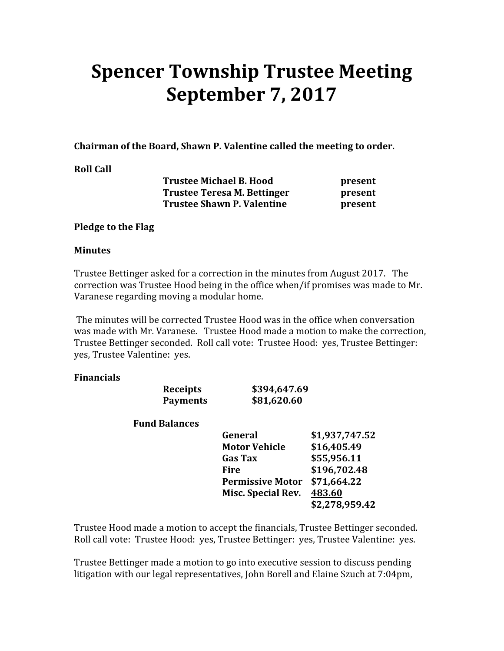# Spencer Township Trustee Meeting September 7, 2017

Chairman of the Board, Shawn P. Valentine called the meeting to order.

## Roll Call

| <b>Trustee Michael B. Hood</b> | present |
|--------------------------------|---------|
| Trustee Teresa M. Bettinger    | present |
| Trustee Shawn P. Valentine     | present |

## Pledge to the Flag

## **Minutes**

Trustee Bettinger asked for a correction in the minutes from August 2017. The correction was Trustee Hood being in the office when/if promises was made to Mr. Varanese regarding moving a modular home.

 The minutes will be corrected Trustee Hood was in the office when conversation was made with Mr. Varanese. Trustee Hood made a motion to make the correction, Trustee Bettinger seconded. Roll call vote: Trustee Hood: yes, Trustee Bettinger: yes, Trustee Valentine: yes.

## Financials

| <b>Receipts</b>      | \$394,647.69            |                |
|----------------------|-------------------------|----------------|
| <b>Payments</b>      | \$81,620.60             |                |
| <b>Fund Balances</b> |                         |                |
|                      | General                 | \$1,937,747.52 |
|                      | <b>Motor Vehicle</b>    | \$16,405.49    |
|                      | <b>Gas Tax</b>          | \$55,956.11    |
|                      | Fire                    | \$196,702.48   |
|                      | <b>Permissive Motor</b> | \$71,664.22    |
|                      | Misc. Special Rev.      | 483.60         |
|                      |                         | \$2,278,959.42 |
|                      |                         |                |

Trustee Hood made a motion to accept the financials, Trustee Bettinger seconded. Roll call vote: Trustee Hood: yes, Trustee Bettinger: yes, Trustee Valentine: yes.

Trustee Bettinger made a motion to go into executive session to discuss pending litigation with our legal representatives, John Borell and Elaine Szuch at 7:04pm,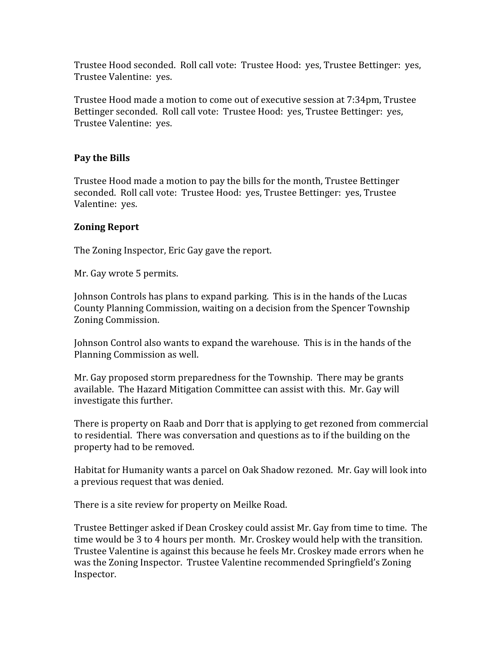Trustee Hood seconded. Roll call vote: Trustee Hood: yes, Trustee Bettinger: yes, Trustee Valentine: yes.

Trustee Hood made a motion to come out of executive session at 7:34pm, Trustee Bettinger seconded. Roll call vote: Trustee Hood: yes, Trustee Bettinger: yes, Trustee Valentine: yes.

# Pay the Bills

Trustee Hood made a motion to pay the bills for the month, Trustee Bettinger seconded. Roll call vote: Trustee Hood: yes, Trustee Bettinger: yes, Trustee Valentine: yes.

# Zoning Report

The Zoning Inspector, Eric Gay gave the report.

Mr. Gay wrote 5 permits.

Johnson Controls has plans to expand parking. This is in the hands of the Lucas County Planning Commission, waiting on a decision from the Spencer Township Zoning Commission.

Johnson Control also wants to expand the warehouse. This is in the hands of the Planning Commission as well.

Mr. Gay proposed storm preparedness for the Township. There may be grants available. The Hazard Mitigation Committee can assist with this. Mr. Gay will investigate this further.

There is property on Raab and Dorr that is applying to get rezoned from commercial to residential. There was conversation and questions as to if the building on the property had to be removed.

Habitat for Humanity wants a parcel on Oak Shadow rezoned. Mr. Gay will look into a previous request that was denied.

There is a site review for property on Meilke Road.

Trustee Bettinger asked if Dean Croskey could assist Mr. Gay from time to time. The time would be 3 to 4 hours per month. Mr. Croskey would help with the transition. Trustee Valentine is against this because he feels Mr. Croskey made errors when he was the Zoning Inspector. Trustee Valentine recommended Springfield's Zoning Inspector.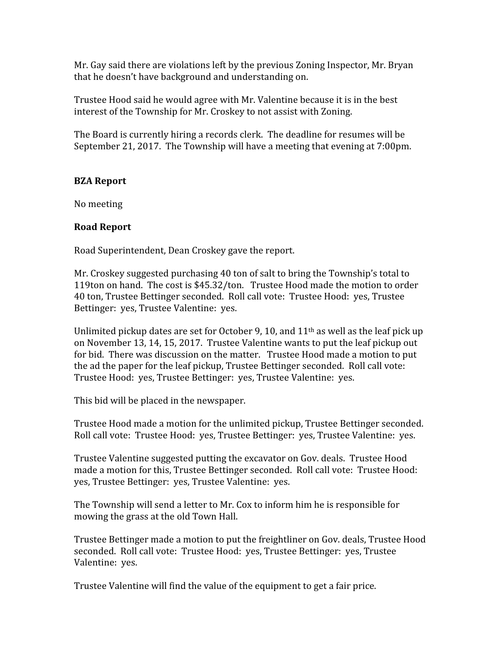Mr. Gay said there are violations left by the previous Zoning Inspector, Mr. Bryan that he doesn't have background and understanding on.

Trustee Hood said he would agree with Mr. Valentine because it is in the best interest of the Township for Mr. Croskey to not assist with Zoning.

The Board is currently hiring a records clerk. The deadline for resumes will be September 21, 2017. The Township will have a meeting that evening at 7:00pm.

## BZA Report

No meeting

#### Road Report

Road Superintendent, Dean Croskey gave the report.

Mr. Croskey suggested purchasing 40 ton of salt to bring the Township's total to 119ton on hand. The cost is \$45.32/ton. Trustee Hood made the motion to order 40 ton, Trustee Bettinger seconded. Roll call vote: Trustee Hood: yes, Trustee Bettinger: yes, Trustee Valentine: yes.

Unlimited pickup dates are set for October 9, 10, and  $11<sup>th</sup>$  as well as the leaf pick up on November 13, 14, 15, 2017. Trustee Valentine wants to put the leaf pickup out for bid. There was discussion on the matter. Trustee Hood made a motion to put the ad the paper for the leaf pickup, Trustee Bettinger seconded. Roll call vote: Trustee Hood: yes, Trustee Bettinger: yes, Trustee Valentine: yes.

This bid will be placed in the newspaper.

Trustee Hood made a motion for the unlimited pickup, Trustee Bettinger seconded. Roll call vote: Trustee Hood: yes, Trustee Bettinger: yes, Trustee Valentine: yes.

Trustee Valentine suggested putting the excavator on Gov. deals. Trustee Hood made a motion for this, Trustee Bettinger seconded. Roll call vote: Trustee Hood: yes, Trustee Bettinger: yes, Trustee Valentine: yes.

The Township will send a letter to Mr. Cox to inform him he is responsible for mowing the grass at the old Town Hall.

Trustee Bettinger made a motion to put the freightliner on Gov. deals, Trustee Hood seconded. Roll call vote: Trustee Hood: yes, Trustee Bettinger: yes, Trustee Valentine: yes.

Trustee Valentine will find the value of the equipment to get a fair price.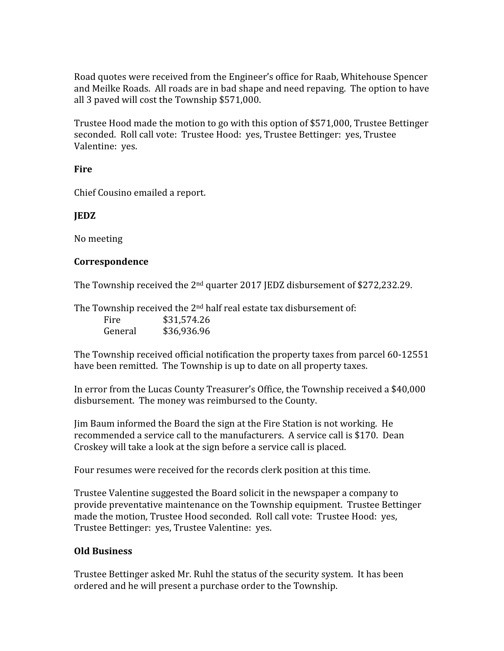Road quotes were received from the Engineer's office for Raab, Whitehouse Spencer and Meilke Roads. All roads are in bad shape and need repaving. The option to have all 3 paved will cost the Township \$571,000.

Trustee Hood made the motion to go with this option of \$571,000, Trustee Bettinger seconded. Roll call vote: Trustee Hood: yes, Trustee Bettinger: yes, Trustee Valentine: yes.

## Fire

Chief Cousino emailed a report.

## JEDZ

No meeting

## Correspondence

The Township received the  $2<sup>nd</sup>$  quarter 2017 JEDZ disbursement of \$272,232.29.

The Township received the 2<sup>nd</sup> half real estate tax disbursement of: Fire \$31,574.26 General \$36,936.96

The Township received official notification the property taxes from parcel 60-12551 have been remitted. The Township is up to date on all property taxes.

In error from the Lucas County Treasurer's Office, the Township received a \$40,000 disbursement. The money was reimbursed to the County.

Jim Baum informed the Board the sign at the Fire Station is not working. He recommended a service call to the manufacturers. A service call is \$170. Dean Croskey will take a look at the sign before a service call is placed.

Four resumes were received for the records clerk position at this time.

Trustee Valentine suggested the Board solicit in the newspaper a company to provide preventative maintenance on the Township equipment. Trustee Bettinger made the motion, Trustee Hood seconded. Roll call vote: Trustee Hood: yes, Trustee Bettinger: yes, Trustee Valentine: yes.

## Old Business

Trustee Bettinger asked Mr. Ruhl the status of the security system. It has been ordered and he will present a purchase order to the Township.